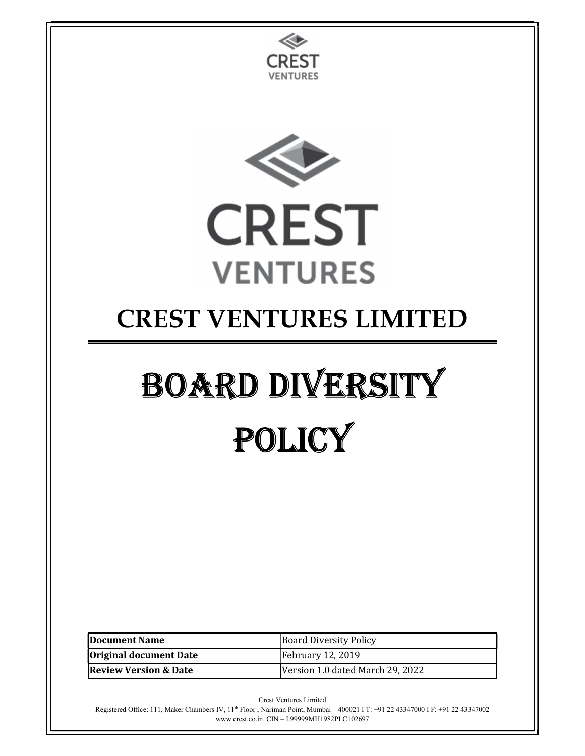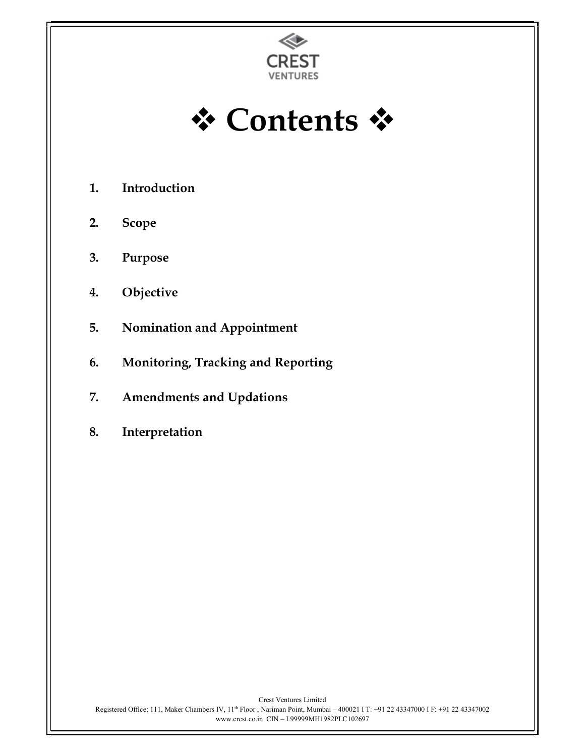

**☆ Contents ☆** 

- 1. Introduction
- 2. Scope
- 3. Purpose
- 4. Objective
- 5. Nomination and Appointment
- 6. Monitoring, Tracking and Reporting
- 7. Amendments and Updations
- 8. Interpretation

Crest Ventures Limited Registered Office: 111, Maker Chambers IV, 11th Floor , Nariman Point, Mumbai – 400021 I T: +91 22 43347000 I F: +91 22 43347002 www.crest.co.in CIN – L99999MH1982PLC102697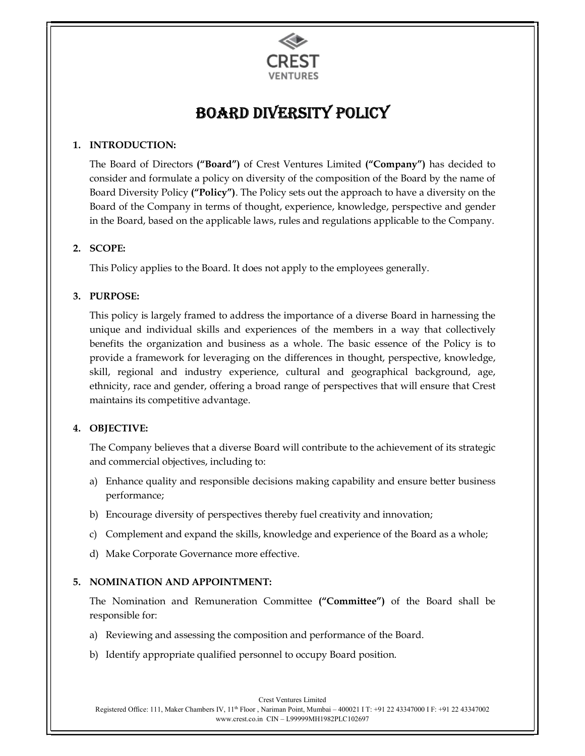

# Board diversity Policy

## 1. INTRODUCTION:

The Board of Directors ("Board") of Crest Ventures Limited ("Company") has decided to consider and formulate a policy on diversity of the composition of the Board by the name of Board Diversity Policy ("Policy"). The Policy sets out the approach to have a diversity on the Board of the Company in terms of thought, experience, knowledge, perspective and gender in the Board, based on the applicable laws, rules and regulations applicable to the Company.

## 2. SCOPE:

This Policy applies to the Board. It does not apply to the employees generally.

## 3. PURPOSE:

This policy is largely framed to address the importance of a diverse Board in harnessing the unique and individual skills and experiences of the members in a way that collectively benefits the organization and business as a whole. The basic essence of the Policy is to provide a framework for leveraging on the differences in thought, perspective, knowledge, skill, regional and industry experience, cultural and geographical background, age, ethnicity, race and gender, offering a broad range of perspectives that will ensure that Crest maintains its competitive advantage.

## 4. OBJECTIVE:

The Company believes that a diverse Board will contribute to the achievement of its strategic and commercial objectives, including to:

- a) Enhance quality and responsible decisions making capability and ensure better business performance;
- b) Encourage diversity of perspectives thereby fuel creativity and innovation;
- c) Complement and expand the skills, knowledge and experience of the Board as a whole;
- d) Make Corporate Governance more effective.

## 5. NOMINATION AND APPOINTMENT:

The Nomination and Remuneration Committee ("Committee") of the Board shall be responsible for:

- a) Reviewing and assessing the composition and performance of the Board.
- b) Identify appropriate qualified personnel to occupy Board position.

Crest Ventures Limited Registered Office: 111, Maker Chambers IV, 11th Floor , Nariman Point, Mumbai – 400021 I T: +91 22 43347000 I F: +91 22 43347002 www.crest.co.in CIN – L99999MH1982PLC102697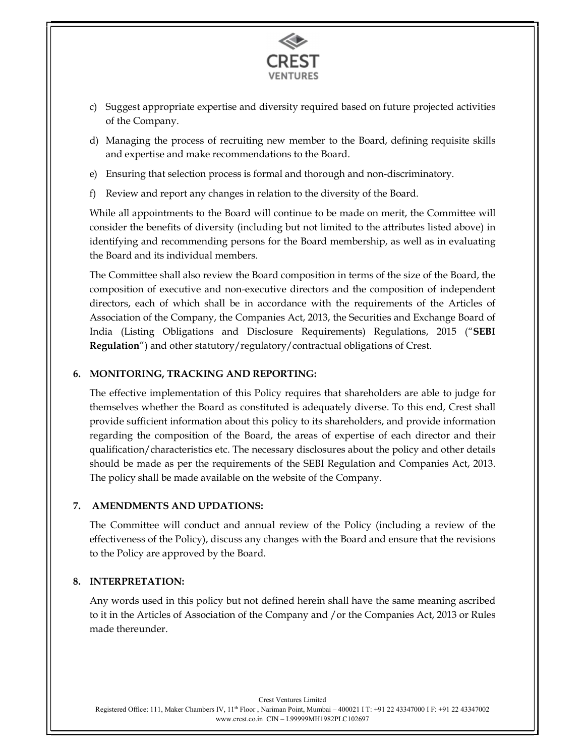

- c) Suggest appropriate expertise and diversity required based on future projected activities of the Company.
- d) Managing the process of recruiting new member to the Board, defining requisite skills and expertise and make recommendations to the Board.
- e) Ensuring that selection process is formal and thorough and non-discriminatory.
- f) Review and report any changes in relation to the diversity of the Board.

While all appointments to the Board will continue to be made on merit, the Committee will consider the benefits of diversity (including but not limited to the attributes listed above) in identifying and recommending persons for the Board membership, as well as in evaluating the Board and its individual members.

The Committee shall also review the Board composition in terms of the size of the Board, the composition of executive and non-executive directors and the composition of independent directors, each of which shall be in accordance with the requirements of the Articles of Association of the Company, the Companies Act, 2013, the Securities and Exchange Board of India (Listing Obligations and Disclosure Requirements) Regulations, 2015 ("SEBI Regulation") and other statutory/regulatory/contractual obligations of Crest.

#### 6. MONITORING, TRACKING AND REPORTING:

The effective implementation of this Policy requires that shareholders are able to judge for themselves whether the Board as constituted is adequately diverse. To this end, Crest shall provide sufficient information about this policy to its shareholders, and provide information regarding the composition of the Board, the areas of expertise of each director and their qualification/characteristics etc. The necessary disclosures about the policy and other details should be made as per the requirements of the SEBI Regulation and Companies Act, 2013. The policy shall be made available on the website of the Company.

#### 7. AMENDMENTS AND UPDATIONS:

The Committee will conduct and annual review of the Policy (including a review of the effectiveness of the Policy), discuss any changes with the Board and ensure that the revisions to the Policy are approved by the Board.

#### 8. INTERPRETATION:

Any words used in this policy but not defined herein shall have the same meaning ascribed to it in the Articles of Association of the Company and /or the Companies Act, 2013 or Rules made thereunder.